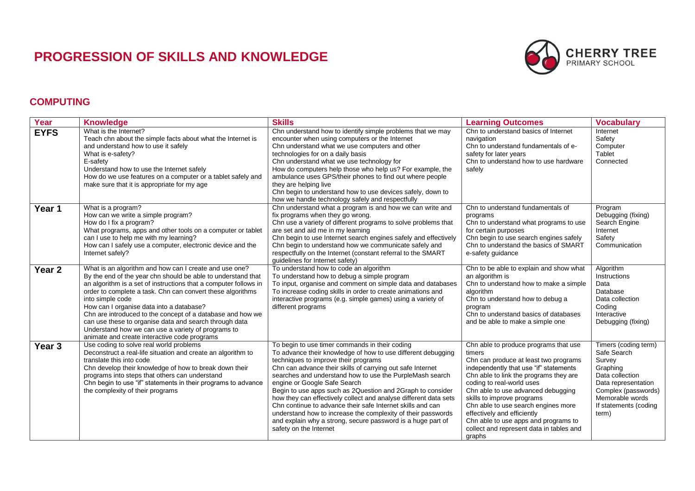## **PROGRESSION OF SKILLS AND KNOWLEDGE**



## **COMPUTING**

| Year              | <b>Knowledge</b>                                                                                                                                                                                                                                                                                                                                                                                                                                                                                                                                       | <b>Skills</b>                                                                                                                                                                                                                                                                                                                                                                                                                                                                                                                                                                                                                                                             | <b>Learning Outcomes</b>                                                                                                                                                                                                                                                                                                                                                                                                                          | <b>Vocabulary</b>                                                                                                                                                               |
|-------------------|--------------------------------------------------------------------------------------------------------------------------------------------------------------------------------------------------------------------------------------------------------------------------------------------------------------------------------------------------------------------------------------------------------------------------------------------------------------------------------------------------------------------------------------------------------|---------------------------------------------------------------------------------------------------------------------------------------------------------------------------------------------------------------------------------------------------------------------------------------------------------------------------------------------------------------------------------------------------------------------------------------------------------------------------------------------------------------------------------------------------------------------------------------------------------------------------------------------------------------------------|---------------------------------------------------------------------------------------------------------------------------------------------------------------------------------------------------------------------------------------------------------------------------------------------------------------------------------------------------------------------------------------------------------------------------------------------------|---------------------------------------------------------------------------------------------------------------------------------------------------------------------------------|
| <b>EYFS</b>       | What is the Internet?<br>Teach chn about the simple facts about what the Internet is<br>and understand how to use it safely<br>What is e-safety?<br>E-safety<br>Understand how to use the Internet safely<br>How do we use features on a computer or a tablet safely and<br>make sure that it is appropriate for my age                                                                                                                                                                                                                                | Chn understand how to identify simple problems that we may<br>encounter when using computers or the Internet<br>Chn understand what we use computers and other<br>technologies for on a daily basis<br>Chn understand what we use technology for<br>How do computers help those who help us? For example, the<br>ambulance uses GPS/their phones to find out where people<br>they are helping live<br>Chn begin to understand how to use devices safely, down to<br>how we handle technology safely and respectfully                                                                                                                                                      | Chn to understand basics of Internet<br>navigation<br>Chn to understand fundamentals of e-<br>safety for later years<br>Chn to understand how to use hardware<br>safely                                                                                                                                                                                                                                                                           | Internet<br>Safety<br>Computer<br>Tablet<br>Connected                                                                                                                           |
| Year 1            | What is a program?<br>How can we write a simple program?<br>How do I fix a program?<br>What programs, apps and other tools on a computer or tablet<br>can I use to help me with my learning?<br>How can I safely use a computer, electronic device and the<br>Internet safely?                                                                                                                                                                                                                                                                         | Chn understand what a program is and how we can write and<br>fix programs when they go wrong.<br>Chn use a variety of different programs to solve problems that<br>are set and aid me in my learning<br>Chn begin to use Internet search engines safely and effectively<br>Chn begin to understand how we communicate safely and<br>respectfully on the Internet (constant referral to the SMART<br>guidelines for Internet safety)                                                                                                                                                                                                                                       | Chn to understand fundamentals of<br>programs<br>Chn to understand what programs to use<br>for certain purposes<br>Chn begin to use search engines safely<br>Chn to understand the basics of SMART<br>e-safety guidance                                                                                                                                                                                                                           | Program<br>Debugging (fixing)<br>Search Engine<br>Internet<br>Safety<br>Communication                                                                                           |
| Year <sub>2</sub> | What is an algorithm and how can I create and use one?<br>By the end of the year chn should be able to understand that<br>an algorithm is a set of instructions that a computer follows in<br>order to complete a task. Chn can convert these algorithms<br>into simple code<br>How can I organise data into a database?<br>Chn are introduced to the concept of a database and how we<br>can use these to organise data and search through data<br>Understand how we can use a variety of programs to<br>animate and create interactive code programs | To understand how to code an algorithm<br>To understand how to debug a simple program<br>To input, organise and comment on simple data and databases<br>To increase coding skills in order to create animations and<br>interactive programs (e.g. simple games) using a variety of<br>different programs                                                                                                                                                                                                                                                                                                                                                                  | Chn to be able to explain and show what<br>an algorithm is<br>Chn to understand how to make a simple<br>algorithm<br>Chn to understand how to debug a<br>program<br>Chn to understand basics of databases<br>and be able to make a simple one                                                                                                                                                                                                     | Algorithm<br>Instructions<br>Data<br>Database<br>Data collection<br>Coding<br>Interactive<br>Debugging (fixing)                                                                 |
| Year <sub>3</sub> | Use coding to solve real world problems<br>Deconstruct a real-life situation and create an algorithm to<br>translate this into code<br>Chn develop their knowledge of how to break down their<br>programs into steps that others can understand<br>Chn begin to use "if" statements in their programs to advance<br>the complexity of their programs                                                                                                                                                                                                   | To begin to use timer commands in their coding<br>To advance their knowledge of how to use different debugging<br>techniques to improve their programs<br>Chn can advance their skills of carrying out safe Internet<br>searches and understand how to use the PurpleMash search<br>engine or Google Safe Search<br>Begin to use apps such as 2Question and 2Graph to consider<br>how they can effectively collect and analyse different data sets<br>Chn continue to advance their safe Internet skills and can<br>understand how to increase the complexity of their passwords<br>and explain why a strong, secure password is a huge part of<br>safety on the Internet | Chn able to produce programs that use<br>timers<br>Chn can produce at least two programs<br>independently that use "if" statements<br>Chn able to link the programs they are<br>coding to real-world uses<br>Chn able to use advanced debugging<br>skills to improve programs<br>Chn able to use search engines more<br>effectively and efficiently<br>Chn able to use apps and programs to<br>collect and represent data in tables and<br>graphs | Timers (coding term)<br>Safe Search<br>Survey<br>Graphing<br>Data collection<br>Data representation<br>Complex (passwords)<br>Memorable words<br>If statements (coding<br>term) |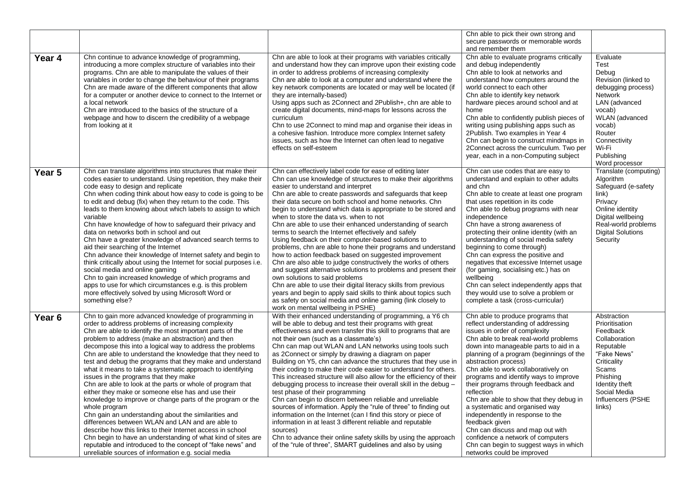|                   |                                                                                                                                                                                                                                                                                                                                                                                                                                                                                                                                                                                                                                                                                                                                                                                                                                                                                                                                                                                                                                                                                               |                                                                                                                                                                                                                                                                                                                                                                                                                                                                                                                                                                                                                                                                                                                                                                                                                                                                                                                                                                                                                                                                                                                          | Chn able to pick their own strong and<br>secure passwords or memorable words<br>and remember them                                                                                                                                                                                                                                                                                                                                                                                                                                                                                                                                                                                         |                                                                                                                                                                                                             |
|-------------------|-----------------------------------------------------------------------------------------------------------------------------------------------------------------------------------------------------------------------------------------------------------------------------------------------------------------------------------------------------------------------------------------------------------------------------------------------------------------------------------------------------------------------------------------------------------------------------------------------------------------------------------------------------------------------------------------------------------------------------------------------------------------------------------------------------------------------------------------------------------------------------------------------------------------------------------------------------------------------------------------------------------------------------------------------------------------------------------------------|--------------------------------------------------------------------------------------------------------------------------------------------------------------------------------------------------------------------------------------------------------------------------------------------------------------------------------------------------------------------------------------------------------------------------------------------------------------------------------------------------------------------------------------------------------------------------------------------------------------------------------------------------------------------------------------------------------------------------------------------------------------------------------------------------------------------------------------------------------------------------------------------------------------------------------------------------------------------------------------------------------------------------------------------------------------------------------------------------------------------------|-------------------------------------------------------------------------------------------------------------------------------------------------------------------------------------------------------------------------------------------------------------------------------------------------------------------------------------------------------------------------------------------------------------------------------------------------------------------------------------------------------------------------------------------------------------------------------------------------------------------------------------------------------------------------------------------|-------------------------------------------------------------------------------------------------------------------------------------------------------------------------------------------------------------|
| Year 4            | Chn continue to advance knowledge of programming,<br>introducing a more complex structure of variables into their<br>programs. Chn are able to manipulate the values of their<br>variables in order to change the behaviour of their programs<br>Chn are made aware of the different components that allow<br>for a computer or another device to connect to the Internet or<br>a local network<br>Chn are introduced to the basics of the structure of a<br>webpage and how to discern the credibility of a webpage<br>from looking at it                                                                                                                                                                                                                                                                                                                                                                                                                                                                                                                                                    | Chn are able to look at their programs with variables critically<br>and understand how they can improve upon their existing code<br>in order to address problems of increasing complexity<br>Chn are able to look at a computer and understand where the<br>key network components are located or may well be located (if<br>they are internally-based)<br>Using apps such as 2Connect and 2Publish+, chn are able to<br>create digital documents, mind-maps for lessons across the<br>curriculum<br>Chn to use 2Connect to mind map and organise their ideas in<br>a cohesive fashion. Introduce more complex Internet safety<br>issues, such as how the Internet can often lead to negative<br>effects on self-esteem                                                                                                                                                                                                                                                                                                                                                                                                  | Chn able to evaluate programs critically<br>and debug independently<br>Chn able to look at networks and<br>understand how computers around the<br>world connect to each other<br>Chn able to identify key network<br>hardware pieces around school and at<br>home<br>Chn able to confidently publish pieces of<br>writing using publishing apps such as<br>2Publish. Two examples in Year 4<br>Chn can begin to construct mindmaps in<br>2Connect across the curriculum. Two per<br>year, each in a non-Computing subject                                                                                                                                                                 | Evaluate<br>Test<br>Debug<br>Revision (linked to<br>debugging process)<br>Network<br>LAN (advanced<br>vocab)<br>WLAN (advanced<br>vocab)<br>Router<br>Connectivity<br>Wi-Fi<br>Publishing<br>Word processor |
| Year 5            | Chn can translate algorithms into structures that make their<br>codes easier to understand. Using repetition, they make their<br>code easy to design and replicate<br>Chn when coding think about how easy to code is going to be<br>to edit and debug (fix) when they return to the code. This<br>leads to them knowing about which labels to assign to which<br>variable<br>Chn have knowledge of how to safeguard their privacy and<br>data on networks both in school and out<br>Chn have a greater knowledge of advanced search terms to<br>aid their searching of the Internet<br>Chn advance their knowledge of Internet safety and begin to<br>think critically about using the Internet for social purposes i.e.<br>social media and online gaming<br>Chn to gain increased knowledge of which programs and<br>apps to use for which circumstances e.g. is this problem<br>more effectively solved by using Microsoft Word or<br>something else?                                                                                                                                     | Chn can effectively label code for ease of editing later<br>Chn can use knowledge of structures to make their algorithms<br>easier to understand and interpret<br>Chn are able to create passwords and safeguards that keep<br>their data secure on both school and home networks. Chn<br>begin to understand which data is appropriate to be stored and<br>when to store the data vs. when to not<br>Chn are able to use their enhanced understanding of search<br>terms to search the Internet effectively and safely<br>Using feedback on their computer-based solutions to<br>problems, chn are able to hone their programs and understand<br>how to action feedback based on suggested improvement<br>Chn are also able to judge constructively the works of others<br>and suggest alternative solutions to problems and present their<br>own solutions to said problems<br>Chn are able to use their digital literacy skills from previous<br>years and begin to apply said skills to think about topics such<br>as safety on social media and online gaming (link closely to<br>work on mental wellbeing in PSHE) | Chn can use codes that are easy to<br>understand and explain to other adults<br>and chn<br>Chn able to create at least one program<br>that uses repetition in its code<br>Chn able to debug programs with near<br>independence<br>Chn have a strong awareness of<br>protecting their online identity (with an<br>understanding of social media safety<br>beginning to come through)<br>Chn can express the positive and<br>negatives that excessive Internet usage<br>(for gaming, socialising etc.) has on<br>wellbeing<br>Chn can select independently apps that<br>they would use to solve a problem or<br>complete a task (cross-curricular)                                          | Translate (computing)<br>Algorithm<br>Safeguard (e-safety<br>link)<br>Privacy<br>Online identity<br>Digital wellbeing<br>Real-world problems<br><b>Digital Solutions</b><br>Security                        |
| Year <sub>6</sub> | Chn to gain more advanced knowledge of programming in<br>order to address problems of increasing complexity<br>Chn are able to identify the most important parts of the<br>problem to address (make an abstraction) and then<br>decompose this into a logical way to address the problems<br>Chn are able to understand the knowledge that they need to<br>test and debug the programs that they make and understand<br>what it means to take a systematic approach to identifying<br>issues in the programs that they make<br>Chn are able to look at the parts or whole of program that<br>either they make or someone else has and use their<br>knowledge to improve or change parts of the program or the<br>whole program<br>Chn gain an understanding about the similarities and<br>differences between WLAN and LAN and are able to<br>describe how this links to their Internet access in school<br>Chn begin to have an understanding of what kind of sites are<br>reputable and introduced to the concept of "fake news" and<br>unreliable sources of information e.g. social media | With their enhanced understanding of programming, a Y6 ch<br>will be able to debug and test their programs with great<br>effectiveness and even transfer this skill to programs that are<br>not their own (such as a classmate's)<br>Chn can map out WLAN and LAN networks using tools such<br>as 2Connect or simply by drawing a diagram on paper<br>Building on Y5, chn can advance the structures that they use in<br>their coding to make their code easier to understand for others.<br>This increased structure will also allow for the efficiency of their<br>debugging process to increase their overall skill in the debug -<br>test phase of their programming<br>Chn can begin to discern between reliable and unreliable<br>sources of information. Apply the "rule of three" to finding out<br>information on the Internet (can I find this story or piece of<br>information in at least 3 different reliable and reputable<br>sources)<br>Chn to advance their online safety skills by using the approach<br>of the "rule of three", SMART guidelines and also by using                                    | Chn able to produce programs that<br>reflect understanding of addressing<br>issues in order of complexity<br>Chn able to break real-world problems<br>down into manageable parts to aid in a<br>planning of a program (beginnings of the<br>abstraction process)<br>Chn able to work collaboratively on<br>programs and identify ways to improve<br>their programs through feedback and<br>reflection<br>Chn are able to show that they debug in<br>a systematic and organised way<br>independently in response to the<br>feedback given<br>Chn can discuss and map out with<br>confidence a network of computers<br>Chn can begin to suggest ways in which<br>networks could be improved | Abstraction<br>Prioritisation<br>Feedback<br>Collaboration<br>Reputable<br>"Fake News"<br>Criticality<br>Scams<br>Phishing<br>Identity theft<br>Social Media<br>Influencers (PSHE<br>links)                 |